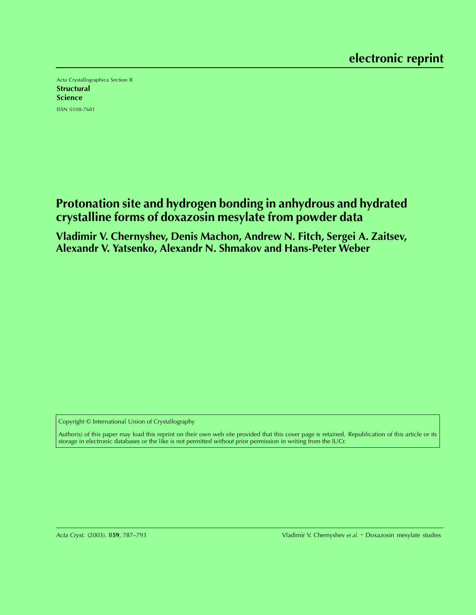Acta Crystallographica Section B **Structural Science** ISSN 0108-7681

# **Protonation site and hydrogen bonding in anhydrous and hydrated crystalline forms of doxazosin mesylate from powder data**

**Vladimir V. Chernyshev, Denis Machon, Andrew N. Fitch, Sergei A. Zaitsev, Alexandr V. Yatsenko, Alexandr N. Shmakov and Hans-Peter Weber**

Copyright © International Union of Crystallography

Author(s) of this paper may load this reprint on their own web site provided that this cover page is retained. Republication of this article or its storage in electronic databases or the like is not permitted without prior permission in writing from the IUCr.

Acta Cryst. (2003). B**59**, 787–793 Vladimir V. Chernyshev et al. Doxazosin mesylate studies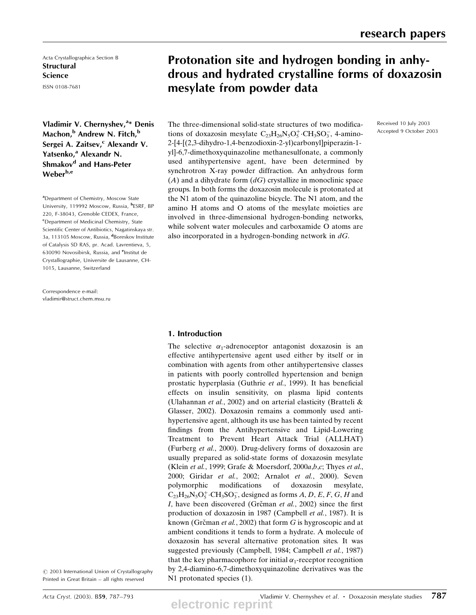Received 10 July 2003 Accepted 9 October 2003

Acta Crystallographica Section B **Structural Science** ISSN 0108-7681

Vladimir V. Chernyshev,<sup>a\*</sup> Denis Machon,<sup>b</sup> Andrew N. Fitch,<sup>b</sup> Sergei A. Zaitsev,<sup>c</sup> Alexandr V. Yatsenko,<sup>a</sup> Alexandr N. Shmakov<sup>d</sup> and Hans-Peter Weber<sup>b,e</sup>

<sup>a</sup>Department of Chemistry, Moscow State University, 119992 Moscow, Russia, <sup>b</sup>ESRF, BP 220, F-38043, Grenoble CEDEX, France, <sup>c</sup>Department of Medicinal Chemistry, State Scientific Center of Antibiotics, Nagatinskaya str. 3a, 113105 Moscow, Russia, <sup>d</sup>Boreskov Institute of Catalysis SD RAS, pr. Acad. Lavrentieva, 5, 630090 Novosibirsk, Russia, and <sup>e</sup>Institut de Crystallographie, Universite de Lausanne, CH-1015, Lausanne, Switzerland

Correspondence e-mail: vladimir@struct.chem.msu.ru

# Protonation site and hydrogen bonding in anhydrous and hydrated crystalline forms of doxazosin mesylate from powder data

The three-dimensional solid-state structures of two modifications of doxazosin mesylate  $C_{23}H_{26}N_5O_5^+$  CH<sub>3</sub>SO<sub>3</sub>, 4-amino-2-[4-[(2,3-dihydro-1,4-benzodioxin-2-yl)carbonyl]piperazin-1 yl]-6,7-dimethoxyquinazoline methanesulfonate, a commonly used antihypertensive agent, have been determined by synchrotron X-ray powder diffraction. An anhydrous form  $(A)$  and a dihydrate form  $(dG)$  crystallize in monoclinic space groups. In both forms the doxazosin molecule is protonated at the N1 atom of the quinazoline bicycle. The N1 atom, and the amino H atoms and O atoms of the mesylate moieties are involved in three-dimensional hydrogen-bonding networks, while solvent water molecules and carboxamide O atoms are also incorporated in a hydrogen-bonding network in  $dG$ .

# 1. Introduction

The selective  $\alpha_1$ -adrenoceptor antagonist doxazosin is an effective antihypertensive agent used either by itself or in combination with agents from other antihypertensive classes in patients with poorly controlled hypertension and benign prostatic hyperplasia (Guthrie et al., 1999). It has beneficial effects on insulin sensitivity, on plasma lipid contents (Ulahannan et al., 2002) and on arterial elasticity (Bratteli & Glasser, 2002). Doxazosin remains a commonly used antihypertensive agent, although its use has been tainted by recent findings from the Antihypertensive and Lipid-Lowering Treatment to Prevent Heart Attack Trial (ALLHAT) (Furberg et al., 2000). Drug-delivery forms of doxazosin are usually prepared as solid-state forms of doxazosin mesylate (Klein et al., 1999; Grafe & Moersdorf, 2000a,b,c; Thyes et al., 2000; Giridar et al., 2002; Arnalot et al., 2000). Seven polymorphic modifications of doxazosin mesylate,  $C_{23}H_{26}N_5O_5^+ \cdot CH_3SO_3^-$ , designed as forms  $A, D, E, F, G, H$  and I, have been discovered (Grčman et al., 2002) since the first production of doxazosin in 1987 (Campbell et al., 1987). It is known (Grčman et al., 2002) that form  $G$  is hygroscopic and at ambient conditions it tends to form a hydrate. A molecule of doxazosin has several alternative protonation sites. It was suggested previously (Campbell, 1984; Campbell et al., 1987) that the key pharmacophore for initial  $\alpha_1$ -receptor recognition by 2,4-diamino-6,7-dimethoxyquinazoline derivatives was the N1 protonated species  $(1)$ .

 $©$  2003 International Union of Crystallography Printed in Great Britain - all rights reserved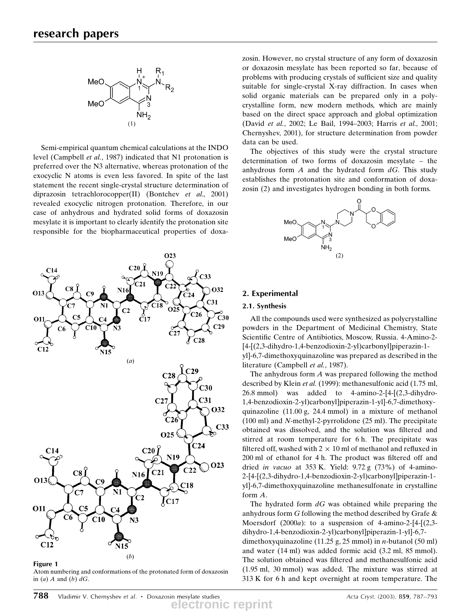

Semi-empirical quantum chemical calculations at the INDO level (Campbell et al., 1987) indicated that N1 protonation is preferred over the N3 alternative, whereas protonation of the exocyclic N atoms is even less favored. In spite of the last statement the recent single-crystal structure determination of diprazosin tetrachlorocopper(II) (Bontchev et al., 2001) revealed exocyclic nitrogen protonation. Therefore, in our case of anhydrous and hydrated solid forms of doxazosin mesylate it is important to clearly identify the protonation site responsible for the biopharmaceutical properties of doxa-

O<sub>23</sub>

 $C33$  $C8$  $N1$  $C31$ 18 'C7  $\int_{\rm C17}^{\rm b'}$  $O25$  $C<sub>2</sub>$ 'C26  $C<sub>5</sub>$  $C30$  $C<sub>29</sub>$  $C27$  $C28$  $N15$  $(a)$  $C<sub>29</sub>$  $C28$  $C30$  $C<sub>31</sub>$  $C<sub>27</sub>$ O32  $C26$  $C33$ O25 Ć24 **C20** C14 N<sub>19</sub> O<sub>23</sub>  $C<sub>22</sub>$  $C<sub>21</sub>$  $C8$ N<sub>16</sub> O13  $C18$  $C<sub>7</sub>$  $^{\prime}$ C2 l C17 **O11** C5  $C10$  $N3$  $C12$ **N15** 

#### Figure 1

Atom numbering and conformations of the protonated form of doxazosin in  $(a)$  A and  $(b)$   $dG$ .

 $(b)$ 

zosin. However, no crystal structure of any form of doxazosin or doxazosin mesylate has been reported so far, because of problems with producing crystals of sufficient size and quality suitable for single-crystal X-ray diffraction. In cases when solid organic materials can be prepared only in a polycrystalline form, new modern methods, which are mainly based on the direct space approach and global optimization (David et al., 2002; Le Bail, 1994-2003; Harris et al., 2001; Chernyshev, 2001), for structure determination from powder data can be used.

The objectives of this study were the crystal structure determination of two forms of doxazosin mesylate  $-$  the anhydrous form  $A$  and the hydrated form  $dG$ . This study establishes the protonation site and conformation of doxazosin (2) and investigates hydrogen bonding in both forms.



# 2. Experimental

## 2.1. Synthesis

All the compounds used were synthesized as polycrystalline powders in the Department of Medicinal Chemistry, State Scientific Centre of Antibiotics, Moscow, Russia. 4-Amino-2-[4-[(2,3-dihydro-1,4-benzodioxin-2-yl)carbonyl]piperazin-1 yl]-6,7-dimethoxyquinazoline was prepared as described in the literature (Campbell et al., 1987).

The anhydrous form  $A$  was prepared following the method described by Klein et al. (1999): methanesulfonic acid (1.75 ml, 26.8 mmol) was added to 4-amino-2-[4-[(2,3-dihydro-1,4-benzodioxin-2-yl)carbonyl]piperazin-1-yl]-6,7-dimethoxyquinazoline (11.00 g, 24.4 mmol) in a mixture of methanol (100 ml) and N-methyl-2-pyrrolidone (25 ml). The precipitate obtained was dissolved, and the solution was filtered and stirred at room temperature for 6 h. The precipitate was filtered off, washed with  $2 \times 10$  ml of methanol and refluxed in 200 ml of ethanol for 4 h. The product was filtered off and dried in vacuo at  $353$  K. Yield:  $9.72$  g  $(73%)$  of 4-amino-2-[4-[(2,3-dihydro-1,4-benzodioxin-2-yl)carbonyl]piperazin-1 yl]-6,7-dimethoxyquinazoline methanesulfonate in crystalline form A.

The hydrated form  $dG$  was obtained while preparing the anhydrous form G following the method described by Grafe & Moersdorf  $(2000a)$ : to a suspension of 4-amino-2-[4- $(2,3$ dihydro-1,4-benzodioxin-2-yl)carbonyl]piperazin-1-yl]-6,7 dimethoxyquinazoline (11.25 g, 25 mmol) in *n*-butanol (50 ml) and water (14 ml) was added formic acid (3.2 ml, 85 mmol). The solution obtained was filtered and methanesulfonic acid (1.95 ml, 30 mmol) was added. The mixture was stirred at 313 K for 6 h and kept overnight at room temperature. The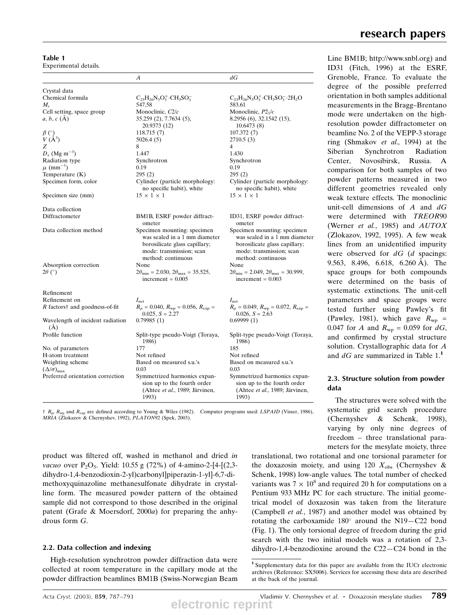| Table 1               |  |
|-----------------------|--|
| Experimental details. |  |

| ехреншены ценану.                                                             |                                                                                                                                                 |                                                                                                                                                 |  |
|-------------------------------------------------------------------------------|-------------------------------------------------------------------------------------------------------------------------------------------------|-------------------------------------------------------------------------------------------------------------------------------------------------|--|
|                                                                               | А                                                                                                                                               | dG                                                                                                                                              |  |
| Crystal data                                                                  |                                                                                                                                                 |                                                                                                                                                 |  |
| Chemical formula                                                              | $C_{23}H_{26}N_5O_5^+ \cdot CH_3SO_3^-$                                                                                                         | $C_{23}H_{26}N_5O_5^+CH_3SO_3^- \cdot 2H_2O$                                                                                                    |  |
| $M_r$                                                                         | 547.58                                                                                                                                          | 583.61                                                                                                                                          |  |
| Cell setting, space group                                                     | Monoclinic, $C2/c$                                                                                                                              | Monoclinic, $P2_1/c$                                                                                                                            |  |
| $a, b, c$ (A)                                                                 | 35.259 (2), 7.7634 (5),                                                                                                                         | 8.2956 (6), 32.1542 (15),                                                                                                                       |  |
|                                                                               | 20.9373 (12)                                                                                                                                    | 10.6473(8)                                                                                                                                      |  |
|                                                                               | 118.715(7)                                                                                                                                      | 107.372(7)                                                                                                                                      |  |
| $\begin{array}{c} \beta \binom{\circ}{1} \\ V \binom{\beta^3}{1} \end{array}$ | 5026.4(5)                                                                                                                                       | 2710.5 (3)                                                                                                                                      |  |
| Z                                                                             | 8                                                                                                                                               | 4                                                                                                                                               |  |
| $D_x$ (Mg m <sup>-3</sup> )                                                   | 1.447                                                                                                                                           | 1.430                                                                                                                                           |  |
| Radiation type                                                                | Synchrotron                                                                                                                                     |                                                                                                                                                 |  |
| $\mu$ (mm <sup>-1</sup> )                                                     | 0.19                                                                                                                                            | Synchrotron                                                                                                                                     |  |
|                                                                               |                                                                                                                                                 | 0.19                                                                                                                                            |  |
| Temperature (K)                                                               | 295(2)                                                                                                                                          | 295(2)                                                                                                                                          |  |
| Specimen form, color                                                          | Cylinder (particle morphology:                                                                                                                  | Cylinder (particle morphology:                                                                                                                  |  |
|                                                                               | no specific habit), white                                                                                                                       | no specific habit), white                                                                                                                       |  |
| Specimen size (mm)                                                            | $15 \times 1 \times 1$                                                                                                                          | $15 \times 1 \times 1$                                                                                                                          |  |
| Data collection                                                               |                                                                                                                                                 |                                                                                                                                                 |  |
| Diffractometer                                                                | BM1B, ESRF powder diffract-<br>ometer                                                                                                           | ID31, ESRF powder diffract-<br>ometer                                                                                                           |  |
| Data collection method                                                        | Specimen mounting: specimen<br>was sealed in a 1 mm diameter<br>borosilicate glass capillary;<br>mode: transmission; scan<br>method: continuous | Specimen mounting: specimen<br>was sealed in a 1 mm diameter<br>borosilicate glass capillary;<br>mode: transmission; scan<br>method: continuous |  |
| Absorption correction                                                         | None                                                                                                                                            | None                                                                                                                                            |  |
| $2\theta$ (°)                                                                 | $2\theta_{\text{min}} = 2.030, 2\theta_{\text{max}} = 35.525,$<br>increment = $0.005$                                                           | $2\theta_{\text{min}} = 2.049$ , $2\theta_{\text{max}} = 30.999$ ,<br>increment = $0.003$                                                       |  |
| Refinement                                                                    |                                                                                                                                                 |                                                                                                                                                 |  |
| Refinement on                                                                 | $I_{\text{net}}$                                                                                                                                | $I_{\text{net}}$                                                                                                                                |  |
| R factors† and goodness-of-fit                                                | $R_p = 0.040$ , $R_{wp} = 0.056$ , $R_{exp} =$<br>$0.025, S = 2.27$                                                                             | $R_p = 0.049$ , $R_{wp} = 0.072$ , $R_{exp} =$<br>$0.026, S = 2.63$                                                                             |  |
| Wavelength of incident radiation<br>(A)                                       | 0.79985(1)                                                                                                                                      | 0.69999(1)                                                                                                                                      |  |
| Profile function                                                              | Split-type pseudo-Voigt (Toraya,<br>1986)                                                                                                       | Split-type pseudo-Voigt (Toraya,<br>1986)                                                                                                       |  |
| No. of parameters                                                             | 177                                                                                                                                             | 185                                                                                                                                             |  |
| H-atom treatment                                                              | Not refined                                                                                                                                     | Not refined                                                                                                                                     |  |
| Weighting scheme                                                              | Based on measured s.u.'s                                                                                                                        | Based on measured s.u.'s                                                                                                                        |  |
| $(\Delta/\sigma)_{\text{max}}$                                                | 0.03                                                                                                                                            | 0.03                                                                                                                                            |  |
| Preferred orientation correction                                              | Symmetrized harmonics expan-<br>sion up to the fourth order<br>(Ahtee et al., 1989; Järvinen,<br>1993)                                          | Symmetrized harmonics expan-<br>sion up to the fourth order<br>(Ahtee <i>et al.</i> , 1989; Järvinen,<br>1993)                                  |  |

Line BM1B; http://www.snbl.org) and ID31 (Fitch, 1996) at the ESRF, Grenoble, France. To evaluate the degree of the possible preferred orientation in both samples additional measurements in the Bragg-Brentano mode were undertaken on the highresolution powder diffractometer on beamline No. 2 of the VEPP-3 storage ring (Shmakov et al., 1994) at the Siberian Synchrotron Radiation Center, Novosibirsk, Russia. A comparison for both samples of two powder patterns measured in two different geometries revealed only weak texture effects. The monoclinic unit-cell dimensions of  $A$  and  $dG$ were determined with TREOR90 (Werner et al., 1985) and  $AUTOX$ (Zlokazov, 1992, 1995). A few weak lines from an unidentified impurity were observed for  $dG$  (d spacings: 9.563, 8.496, 6.618, 6.260 Å). The space groups for both compounds were determined on the basis of systematic extinctions. The unit-cell parameters and space groups were tested further using Pawley's fit (Pawley, 1981), which gave  $R_{\rm wp}$  = 0.047 for A and  $R_{wp} = 0.059$  for dG, and confirmed by crystal structure solution. Crystallographic data for A and  $dG$  are summarized in Table 1.<sup>1</sup>

## 2.3. Structure solution from powder data

The structures were solved with the systematic grid search procedure (Chernyshev & Schenk, 1998), varying by only nine degrees of freedom - three translational parameters for the mesylate moiety, three

translational, two rotational and one torsional parameter for the doxazosin moiety, and using 120  $X_{obs}$  (Chernyshev & Schenk, 1998) low-angle values. The total number of checked variants was  $7 \times 10^8$  and required 20 h for computations on a Pentium 933 MHz PC for each structure. The initial geometrical model of doxazosin was taken from the literature (Campbell et al., 1987) and another model was obtained by rotating the carboxamide  $180^\circ$  around the N19 $-$ C22 bond (Fig. 1). The only torsional degree of freedom during the grid search with the two initial models was a rotation of 2,3 dihydro-1,4-benzodioxine around the  $C22-C24$  bond in the

 $\hat{R}_p$ ,  $R_{wp}$  and  $R_{exp}$  are defined according to Young & Wiles (1982). Computer programs used: LSPAID (Visser, 1986), MRIA (Zlokazov & Chernyshev, 1992), PLATON92 (Spek, 2003).

product was filtered off, washed in methanol and dried in vacuo over  $P_2O_5$ . Yield: 10.55 g (72%) of 4-amino-2-[4-[(2,3dihydro-1,4-benzodioxin-2-yl)carbonyl]piperazin-1-yl]-6,7-dimethoxyquinazoline methanesulfonate dihydrate in crystalline form. The measured powder pattern of the obtained sample did not correspond to those described in the original patent (Grafe & Moersdorf, 2000a) for preparing the anhydrous form G.

# 2.2. Data collection and indexing

High-resolution synchrotron powder diffraction data were collected at room temperature in the capillary mode at the powder diffraction beamlines BM1B (Swiss-Norwegian Beam

<sup>1</sup> Supplementary data for this paper are available from the IUCr electronic archives (Reference: SX5006). Services for accessing these data are described at the back of the journal.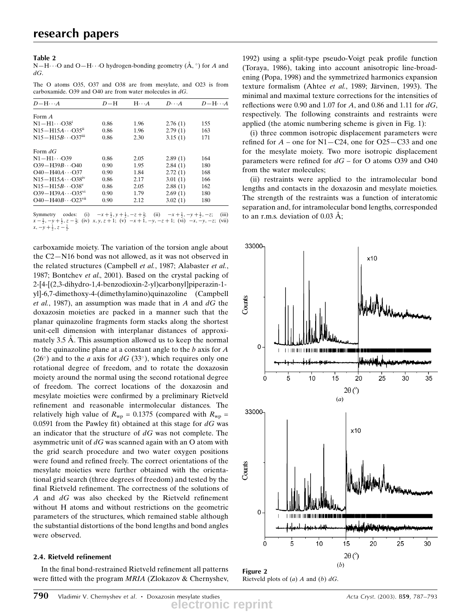#### Table 2

 $N-H\cdots$ O and O $-H\cdots$ O hydrogen-bonding geometry ( $\AA$ ,  $\degree$ ) for A and  $dG$ .

The O atoms O35, O37 and O38 are from mesylate, and O23 is from carboxamide. O39 and O40 are from water molecules in  $dG$ .

| $D-H$ | $H \cdot \cdot \cdot A$ | $D\cdots A$ | $D-H\cdots A$ |
|-------|-------------------------|-------------|---------------|
|       |                         |             |               |
| 0.86  | 1.96                    | 2.76(1)     | 155           |
| 0.86  | 1.96                    | 2.79(1)     | 163           |
| 0.86  | 2.30                    | 3.15(1)     | 171           |
|       |                         |             |               |
| 0.86  | 2.05                    | 2.89(1)     | 164           |
| 0.90  | 1.95                    | 2.84(1)     | 180           |
| 0.90  | 1.84                    | 2.72(1)     | 168           |
| 0.86  | 2.17                    | 3.01(1)     | 166           |
| 0.86  | 2.05                    | 2.88(1)     | 162           |
| 0.90  | 1.79                    | 2.69(1)     | 180           |
| 0.90  | 2.12                    | 3.02(1)     | 180           |
|       |                         |             |               |

Symmetry codes: (i)  $-x+\frac{1}{2}, y+\frac{1}{2}, -z+\frac{1}{2}$ ; (ii)  $-x+\frac{1}{2}$ Symmetry codes: (i)  $-x+\frac{1}{2}, y+\frac{1}{2}, -z+\frac{1}{2}$ ; (ii)  $-x+\frac{1}{2}, -y+\frac{1}{2}, -z$ ; (iii)  $x-\frac{1}{2}, -y+\frac{1}{2}, z-\frac{1}{2}$ ; (iv)  $x, y, z+1$ ; (v)  $-x+1, -y, -z+1$ ; (vi)  $-x, -y, -z$ ; (vii)  $x, -y + \frac{1}{2}, z - \frac{1}{2}$ 

carboxamide moiety. The variation of the torsion angle about the  $C2-N16$  bond was not allowed, as it was not observed in the related structures (Campbell et al., 1987; Alabaster et al., 1987; Bontchev et al., 2001). Based on the crystal packing of 2-[4-[(2,3-dihydro-1,4-benzodioxin-2-yl)carbonyl]piperazin-1 yl]-6,7-dimethoxy-4-(dimethylamino)quinazoline (Campbell et al., 1987), an assumption was made that in  $A$  and  $dG$  the doxazosin moieties are packed in a manner such that the planar quinazoline fragments form stacks along the shortest unit-cell dimension with interplanar distances of approximately  $3.5 \text{ Å}$ . This assumption allowed us to keep the normal to the quinazoline plane at a constant angle to the  $b$  axis for  $A$  $(26^{\circ})$  and to the *a* axis for *dG* (33°), which requires only one rotational degree of freedom, and to rotate the doxazosin moiety around the normal using the second rotational degree of freedom. The correct locations of the doxazosin and mesylate moieties were confirmed by a preliminary Rietveld refinement and reasonable intermolecular distances. The relatively high value of  $R_{wp} = 0.1375$  (compared with  $R_{wp} =$ 0.0591 from the Pawley fit) obtained at this stage for  $dG$  was an indicator that the structure of  $dG$  was not complete. The asymmetric unit of  $dG$  was scanned again with an O atom with the grid search procedure and two water oxygen positions were found and refined freely. The correct orientations of the mesylate moieties were further obtained with the orientational grid search (three degrees of freedom) and tested by the final Rietveld refinement. The correctness of the solutions of A and  $dG$  was also checked by the Rietveld refinement without H atoms and without restrictions on the geometric parameters of the structures, which remained stable although the substantial distortions of the bond lengths and bond angles were observed.

#### 2.4. Rietveld refinement

In the final bond-restrained Rietveld refinement all patterns were fitted with the program MRIA (Zlokazov & Chernyshev,

1992) using a split-type pseudo-Voigt peak profile function (Toraya, 1986), taking into account anisotropic line-broadening (Popa, 1998) and the symmetrized harmonics expansion texture formalism (Ahtee et al., 1989; Järvinen, 1993). The minimal and maximal texture corrections for the intensities of reflections were 0.90 and 1.07 for A, and 0.86 and 1.11 for  $dG$ , respectively. The following constraints and restraints were applied (the atomic numbering scheme is given in Fig. 1):

(i) three common isotropic displacement parameters were refined for  $A$  – one for N1–C24, one for O25–C33 and one for the mesylate moiety. Two more isotropic displacement parameters were refined for  $dG$  – for O atoms O39 and O40 from the water molecules;

(ii) restraints were applied to the intramolecular bond lengths and contacts in the doxazosin and mesylate moieties. The strength of the restraints was a function of interatomic separation and, for intramolecular bond lengths, corresponded to an r.m.s. deviation of  $0.03 \text{ Å}$ ;



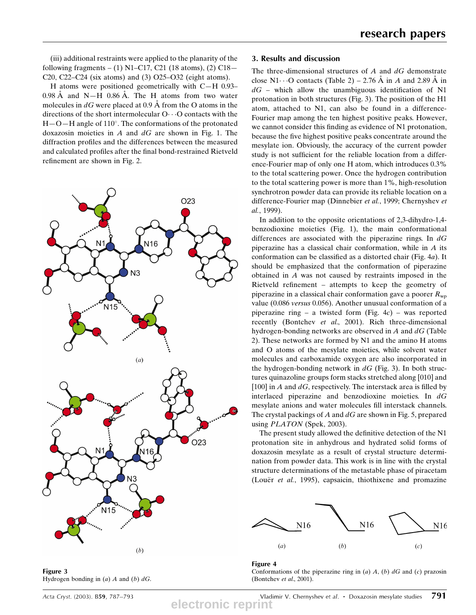(iii) additional restraints were applied to the planarity of the following fragments  $- (1)$  N1 $-$ C17, C21 (18 atoms), (2) C18 $-$ C20, C22 $-$ C24 (six atoms) and (3) O25 $-$ O32 (eight atoms).

H atoms were positioned geometrically with C $-H$  0.93 $0.98$  A and N $-H$  0.86 A. The H atoms from two water molecules in  $dG$  were placed at 0.9 Å from the O atoms in the directions of the short intermolecular  $O \cdot \cdot \cdot O$  contacts with the  $H-O-H$  angle of 110°. The conformations of the protonated doxazosin moieties in  $A$  and  $dG$  are shown in Fig. 1. The diffraction profiles and the differences between the measured and calculated profiles after the final bond-restrained Rietveld refinement are shown in Fig. 2.



#### 3. Results and discussion

The three-dimensional structures of  $A$  and  $dG$  demonstrate close N1 $\cdots$ O contacts (Table 2) – 2.76 Å in A and 2.89 Å in  $dG$  – which allow the unambiguous identification of N1 protonation in both structures (Fig. 3). The position of the H1 atom, attached to N1, can also be found in a difference-Fourier map among the ten highest positive peaks. However, we cannot consider this finding as evidence of N1 protonation, because the five highest positive peaks concentrate around the mesylate ion. Obviously, the accuracy of the current powder study is not sufficient for the reliable location from a difference-Fourier map of only one H atom, which introduces 0.3% to the total scattering power. Once the hydrogen contribution to the total scattering power is more than 1%, high-resolution synchrotron powder data can provide its reliable location on a difference-Fourier map (Dinnebier et al., 1999; Chernyshev et al., 1999).

In addition to the opposite orientations of 2,3-dihydro-1,4 benzodioxine moieties (Fig. 1), the main conformational differences are associated with the piperazine rings. In  $dG$ piperazine has a classical chair conformation, while in  $A$  its conformation can be classified as a distorted chair (Fig.  $4a$ ). It should be emphasized that the conformation of piperazine obtained in A was not caused by restraints imposed in the Rietveld refinement  $-$  attempts to keep the geometry of piperazine in a classical chair conformation gave a poorer  $R_{wp}$ value (0.086 versus 0.056). Another unusual conformation of a piperazine ring  $-$  a twisted form (Fig. 4c)  $-$  was reported recently (Bontchev et al., 2001). Rich three-dimensional hydrogen-bonding networks are observed in  $A$  and  $dG$  (Table 2). These networks are formed by N1 and the amino H atoms and O atoms of the mesylate moieties, while solvent water molecules and carboxamide oxygen are also incorporated in the hydrogen-bonding network in  $dG$  (Fig. 3). In both structures quinazoline groups form stacks stretched along [010] and [100] in A and  $dG$ , respectively. The interstack area is filled by interlaced piperazine and benzodioxine moieties. In dG mesylate anions and water molecules fill interstack channels. The crystal packings of  $A$  and  $dG$  are shown in Fig. 5, prepared using *PLATON* (Spek, 2003).

The present study allowed the definitive detection of the N1 protonation site in anhydrous and hydrated solid forms of doxazosin mesylate as a result of crystal structure determination from powder data. This work is in line with the crystal structure determinations of the metastable phase of piracetam (Louër  $et$  al., 1995), capsaicin, thiothixene and promazine



### Figure 3 Hydrogen bonding in  $(a)$  A and  $(b)$  dG.

Acta Cryst. (2003). B59, 787–793  $\blacksquare$  Vladimir V. Chernyshev et al. • Doxazosin mesylate studies  $791$ **electronic reprint**

Conformations of the piperazine ring in  $(a)$  A,  $(b)$  dG and  $(c)$  prazosin (Bontchev et al., 2001).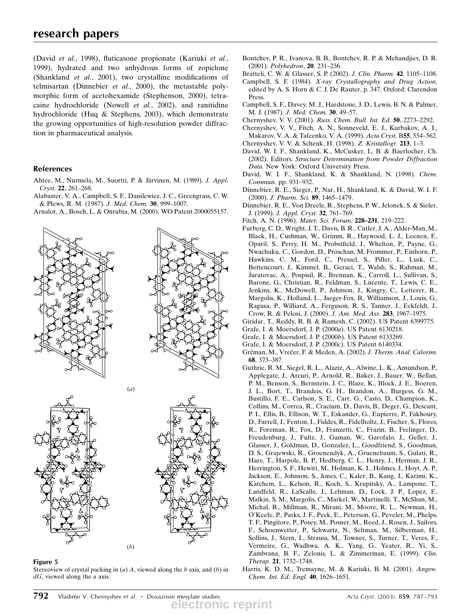(David et al., 1998), fluticasone propionate (Kariuki et al., 1999), hydrated and two anhydrous forms of zopiclone (Shankland et  $al$ , 2001), two crystalline modifications of telmisartan (Dinnebier et al., 2000), the metastable polymorphic form of acetohexamide (Stephenson, 2000), tetracaine hydrochloride (Nowell et al., 2002), and ranitidine hydrochloride (Huq & Stephens, 2003), which demonstrate the growing opportunities of high-resolution powder diffraction in pharmaceutical analysis.

## References

- Ahtee, M., Nurmela, M., Suortti, P. & Järvinen, M. (1989). J. Appl. Cryst. 22, 261-268.
- Alabaster, V. A., Campbell, S. F., Danilewicz, J. C., Greengrass, C. W. & Plews, R. M. (1987). J. Med. Chem. 30, 999-1007.
- Arnalot, A., Bosch, L. & Onrubia, M. (2000). WO Patent 2000055157.

 $(a)$ 











Stereoview of crystal packing in  $(a)$  A, viewed along the b axis, and  $(b)$  in  $dG$ , viewed along the  $a$  axis.

 $(b)$ 

Bontchev, P. R., Ivanova, B. B., Bontchev, R. P. & Mehandjiev, D. R. (2001). Polyhedron, 20, 231-236.

Bratteli, C. W. & Glasser, S. P. (2002). J. Clin. Pharm. 42, 1105-1108.

- Campbell, S. F. (1984). X-ray Crystallography and Drug Action, edited by A. S. Horn & C. J. De Rauter, p. 347. Oxford: Clarendon Press.
- Campbell, S. F., Davey, M. J., Hardstone, J. D., Lewis, B. N. & Palmer, M. J. (1987). J. Med. Chem. 30, 49-57.
- Chernyshev, V. V. (2001). Russ. Chem. Bull. Int. Ed. 50, 2273-2292.
- Chernyshev, V. V., Fitch, A. N., Sonneveld, E. J., Kurbakov, A. I., Makarov, V. A. & Tafeenko, V. A. (1999). Acta Cryst. B55, 554-562. Chernyshev, V. V. & Schenk, H. (1998). Z. Kristallogr. 213, 1-3.
- David, W. I. F., Shankland, K., McCusker, L. B. & Baerlocher, Ch.
- (2002). Editors. Structure Determination from Powder Diffraction Data. New York: Oxford University Press.
- David, W. I. F., Shankland, K. & Shankland, N. (1998). Chem. Commun. pp. 931-932.
- Dinnebier, R. E., Sieger, P., Nar, H., Shankland, K. & David, W. I. F. (2000). J. Pharm. Sci. 89, 1465-1479.
- Dinnebier, R. E., Von Dreele, R., Stephens, P. W., Jelonek, S. & Sieler, J. (1999). J. Appl. Cryst. 32, 761-769.
- Fitch, A. N. (1996). Mater. Sci. Forum, 228-231, 219-222.
- Furberg, C. D., Wright, J. T., Davis, B. R., Cutler, J. A., Alder-Man, M., Black, H., Cushman, W., Grimm, R., Haywood, L. J., Leenen, F., Oparil, S., Perry, H. M., Probstfield, J., Whelton, P., Payne, G., Nwachuku, C., Gordon, D., Proschan, M, Frommer, P., Einhorn, P., Hawkins, C. M., Ford, C., Pressel, S., Piller, L., Lusk, C., Bettencourt, J., Kimmel, B., Geraci, T., Walsh, S., Rahman, M., Juratovac, A., Pospisil, R., Brennan, K., Carroll, L., Sullivan, S., Barone, G., Christian, R., Feldman, S., Lucente, T., Lewis, C. E., Jenkins, K., McDowell, P., Johnson, J., Kingry, C., Letterer, R., Margolis, K., Holland, L., Jaeger-Fox, B., Williamson, J., Louis, G., Ragusa, P., Williard, A., Ferguson, R. S., Tanner, J., Eckfeldt, J., Crow, R. & Pelosi, J. (2000). J. Am. Med. Ass. 283, 1967-1975.
- Giridar, T., Reddy, R. B. & Ramesh, C. (2002). US Patent 6399775.
- Grafe, I. & Moersdorf, J. P. (2000a). US Patent 6130218.
- Grafe, I. & Moersdorf, J. P. (2000b). US Patent 6133269.
- Grafe, I. & Moersdorf, J. P. (2000c). US Patent 6140334.
- Grčman, M., Vrečer, F. & Meden, A. (2002). J. Therm. Anal. Calorim. 68, 373-387.
- Guthrie, R. M., Siegel, R. L., Alaziz, A., Alwine, L. K., Amundson, P., Applegate, J., Arcuri, P., Arnold, R., Baker, J., Bauer, W., Bellan, P. M., Benson, S., Bernstein, J. C., Blaze, K., Block, J. E., Boeren, J. L., Bort, T., Brandeis, G. H., Brandon, A., Burgess, G. M., Bustillo, F. E., Carlson, S. E., Carr, G., Casto, D., Champion, K., Collins, M., Correa, R., Cracium, D., Davis, B., Deger, G., Descant, P. I., Ellis, B., Ellison, W. T., Eskander, G., Eupierre, P., Fakhoury, D., Farrell, J., Fenton, I., Fiddes, R., Fidelholtz, J., Fischer, S., Flores, R., Foreman, R., Fox, D., Franzetti, C., Frazin, B., Frelinger, D., Freudenburg, J., Fultz, J., Gaman, W., Garofalo, J., Geller, J., Glasser, J., Goldman, D., Gonzalez, L., Goodfriend, S., Goodman, D. S., Grajewski, R., Groenendyk, A., Gruenebaum, S., Gulati, R., Hare, T., Harpole, B. P., Hedberg, C. L., Henry, J., Herman, J. R., Herrington, S. F., Hewitt, M., Holman, K. I., Holmes, J., Hoyt, A. P., Jackson, E., Johnson, S., Jones, C., Kaler, B., Kang, J., Karimi, K., Katchem, L., Kelson, R., Koch, S., Krupitsky, A., Lampone, T., Landfeld, R., LaScalle, J., Lehman, D., Lock, J. P., Lopez, F., Malkin, S. M., Margolis, C., Markel, W., Martinelli, T., McShan, M., Michal, R., Millman, R., Mirani, M., Moore, R. L., Newman, H., O'Keefe, P., Parks, J. F., Peck, E., Peterson, G., Peveler, M., Phelps, T. F., Pingitore, P., Posey, M., Posner, M., Reed, J., Rosen, J., Sailors, F., Schoenwetter, P., Schwartz, N., Seltman, M., Silberman, H., Sollins, J., Stern, I., Strauss, M., Towner, S., Turner, T., Veres, F., Vermeire, G., Wadhwa, A. K., Yang, G., Yeater, R., Yi, S., Zambrana, B. F., Zelonis, L. & Zimmerman, E. (1999). Clin. Therap. 21, 1732-1748.
- Harris, K. D. M., Tremayne, M. & Kariuki, B. M. (2001). Angew. Chem. Int. Ed. Engl. 40, 1626-1651.